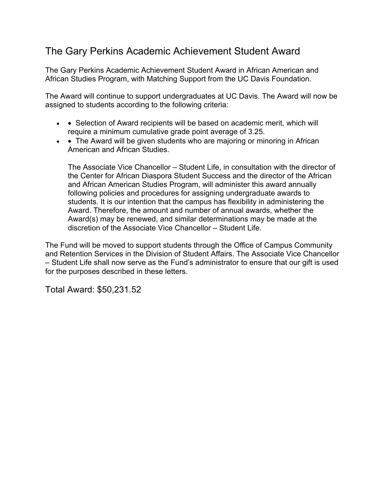## The Gary Perkins Academic Achievement Student Award

The Gary Perkins Academic Achievement Student Award in African American and African Studies Program, with Matching Support from the UC Davis Foundation.

The Award will continue to support undergraduates at UC Davis. The Award will now be assigned to students according to the following criteria:

- $\bullet$   $\bullet$  Selection of Award recipients will be based on academic merit, which will require a minimum cumulative grade point average of 3.25.
- • The Award will be given students who are majoring or minoring in African American and African Studies.

The Associate Vice Chancellor – Student Life, in consultation with the director of the Center for African Diaspora Student Success and the director of the African and African American Studies Program, will administer this award annually following policies and procedures for assigning undergraduate awards to students. It is our intention that the campus has flexibility in administering the Award. Therefore, the amount and number of annual awards, whether the Award(s) may be renewed, and similar determinations may be made at the discretion of the Associate Vice Chancellor – Student Life.

The Fund will be moved to support students through the Office of Campus Community and Retention Services in the Division of Student Affairs. The Associate Vice Chancellor – Student Life shall now serve as the Fund's administrator to ensure that our gift is used for the purposes described in these letters.

Total Award: \$50,231.52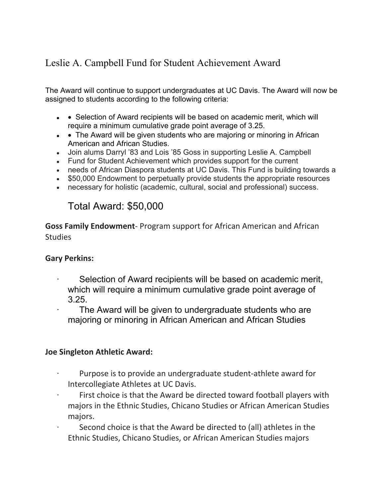# Leslie A. Campbell Fund for Student Achievement Award

The Award will continue to support undergraduates at UC Davis. The Award will now be assigned to students according to the following criteria:

- $\bullet\;$   $\bullet\;$  Selection of Award recipients will be based on academic merit, which will require a minimum cumulative grade point average of 3.25.
- • The Award will be given students who are majoring or minoring in African American and African Studies.
- Join alums Darryl '83 and Lois '85 Goss in supporting Leslie A. Campbell
- Fund for Student Achievement which provides support for the current
- needs of African Diaspora students at UC Davis. This Fund is building towards a
- \$50,000 Endowment to perpetually provide students the appropriate resources
- necessary for holistic (academic, cultural, social and professional) success.

# Total Award: \$50,000

**Goss Family Endowment**- Program support for African American and African **Studies** 

#### **Gary Perkins:**

- Selection of Award recipients will be based on academic merit, which will require a minimum cumulative grade point average of
- 3.25. · The Award will be given to undergraduate students who are majoring or minoring in African American and African Studies

#### **Joe Singleton Athletic Award:**

- Purpose is to provide an undergraduate student-athlete award for Intercollegiate Athletes at UC Davis.
- First choice is that the Award be directed toward football players with majors in the Ethnic Studies, Chicano Studies or African American Studies majors.
- Second choice is that the Award be directed to (all) athletes in the Ethnic Studies, Chicano Studies, or African American Studies majors